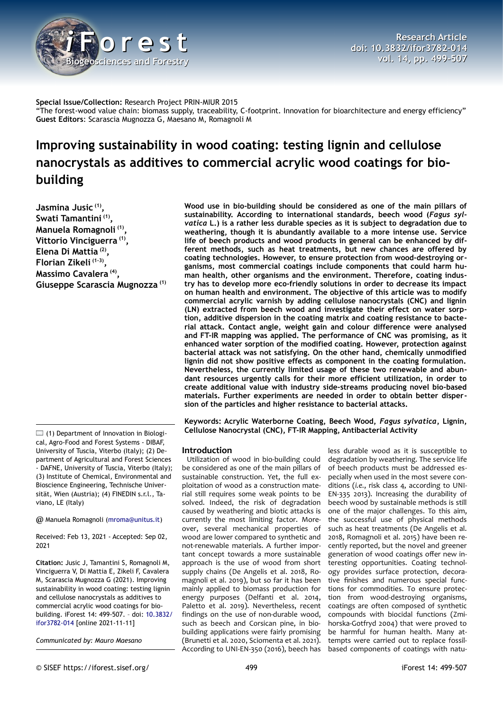

**Special Issue/Collection:** Research Project PRIN-MIUR 2015 "The forest-wood value chain: biomass supply, traceability, C-footprint. Innovation for bioarchitecture and energy efficiency" **Guest Editors**: Scarascia Mugnozza G, Maesano M, Romagnoli M

# **Improving sustainability in wood coating: testing lignin and cellulose nanocrystals as additives to commercial acrylic wood coatings for biobuilding**

**Jasmina Jusic (1) , Swati Tamantini (1) , Manuela Romagnoli (1) , Vittorio Vinciguerra (1) , Elena Di Mattia (2) , Florian Zikeli (1-3) , Massimo Cavalera (4) , Giuseppe Scarascia Mugnozza (1)**

 $\Box$  (1) Department of Innovation in Biological, Agro-Food and Forest Systems - DIBAF, University of Tuscia, Viterbo (Italy); (2) Department of Agricultural and Forest Sciences - DAFNE, University of Tuscia, Viterbo (Italy); (3) Institute of Chemical, Environmental and Bioscience Engineering, Technische Universität, Wien (Austria); (4) FINEDIN s.r.l., Taviano, LE (Italy)

@ Manuela Romagnoli ([mroma@unitus.it](mailto:mroma@unitus.it))

Received: Feb 13, 2021 - Accepted: Sep 02, 2021

**Citation:** Jusic J, Tamantini S, Romagnoli M, Vinciguerra V, Di Mattia E, Zikeli F, Cavalera M, Scarascia Mugnozza G (2021). Improving sustainability in wood coating: testing lignin and cellulose nanocrystals as additives to commercial acrylic wood coatings for biobuilding. iForest 14: 499-507. – doi: [10.3832/](http://www.sisef.it/iforest/contents/?id=ifor3782-014) [ifor3782-014](http://www.sisef.it/iforest/contents/?id=ifor3782-014) [online 2021-11-11]

*Communicated by: Mauro Maesano*

**Wood use in bio-building should be considered as one of the main pillars of sustainability. According to international standards, beech wood (***Fagus sylvatica* **L.) is a rather less durable species as it is subject to degradation due to weathering, though it is abundantly available to a more intense use. Service life of beech products and wood products in general can be enhanced by different methods, such as heat treatments, but new chances are offered by coating technologies. However, to ensure protection from wood-destroying organisms, most commercial coatings include components that could harm human health, other organisms and the environment. Therefore, coating industry has to develop more eco-friendly solutions in order to decrease its impact on human health and environment. The objective of this article was to modify commercial acrylic varnish by adding cellulose nanocrystals (CNC) and lignin (LN) extracted from beech wood and investigate their effect on water sorption, additive dispersion in the coating matrix and coating resistance to bacterial attack. Contact angle, weight gain and colour difference were analysed and FT-IR mapping was applied. The performance of CNC was promising, as it enhanced water sorption of the modified coating. However, protection against bacterial attack was not satisfying. On the other hand, chemically unmodified lignin did not show positive effects as component in the coating formulation. Nevertheless, the currently limited usage of these two renewable and abundant resources urgently calls for their more efficient utilization, in order to create additional value with industry side-streams producing novel bio-based materials. Further experiments are needed in order to obtain better dispersion of the particles and higher resistance to bacterial attacks.**

**Keywords: Acrylic Waterborne Coating, Beech Wood,** *Fagus sylvatica***, Lignin, Cellulose Nanocrystal (CNC), FT-IR Mapping, Antibacterial Activity**

## **Introduction**

Utilization of wood in bio-building could be considered as one of the main pillars of sustainable construction. Yet, the full exploitation of wood as a construction material still requires some weak points to be solved. Indeed, the risk of degradation caused by weathering and biotic attacks is currently the most limiting factor. Moreover, several mechanical properties of wood are lower compared to synthetic and not-renewable materials. A further important concept towards a more sustainable approach is the use of wood from short supply chains (De Angelis et al. 2018, Romagnoli et al. 2019), but so far it has been mainly applied to biomass production for energy purposes (Delfanti et al. 2014, Paletto et al. 2019). Nevertheless, recent findings on the use of non-durable wood, such as beech and Corsican pine, in biobuilding applications were fairly promising (Brunetti et al. 2020, Sciomenta et al. 2021). According to UNI-EN-350 (2016), beech has

less durable wood as it is susceptible to degradation by weathering. The service life of beech products must be addressed especially when used in the most severe conditions (*i.e.*, risk class 4, according to UNI-EN-335 2013). Increasing the durability of beech wood by sustainable methods is still one of the major challenges. To this aim, the successful use of physical methods such as heat treatments (De Angelis et al. 2018, Romagnoli et al. 2015) have been recently reported, but the novel and greener generation of wood coatings offer new interesting opportunities. Coating technology provides surface protection, decorative finishes and numerous special functions for commodities. To ensure protection from wood-destroying organisms, coatings are often composed of synthetic compounds with biocidal functions (Zmihorska-Gotfryd 2004) that were proved to be harmful for human health. Many attempts were carried out to replace fossilbased components of coatings with natu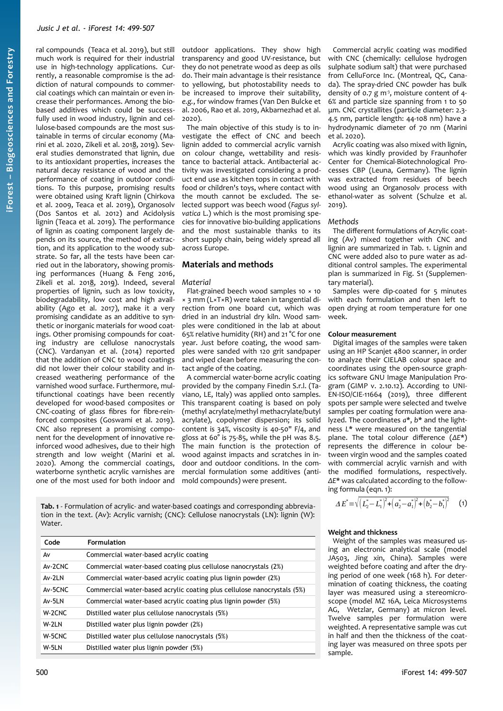ral compounds (Teaca et al. 2019), but still much work is required for their industrial use in high-technology applications. Currently, a reasonable compromise is the addiction of natural compounds to commercial coatings which can maintain or even increase their performances. Among the biobased additives which could be successfully used in wood industry, lignin and cellulose-based compounds are the most sustainable in terms of circular economy (Marini et al. 2020, Zikeli et al. 2018, 2019). Several studies demonstrated that lignin, due to its antioxidant properties, increases the natural decay resistance of wood and the performance of coating in outdoor conditions. To this purpose, promising results were obtained using Kraft lignin (Chirkova et al. 2009, Teaca et al. 2019), Organosolv (Dos Santos et al. 2012) and Acidolysis lignin (Teaca et al. 2019). The performance of lignin as coating component largely depends on its source, the method of extraction, and its application to the woody substrate. So far, all the tests have been carried out in the laboratory, showing promising performances (Huang & Feng 2016, Zikeli et al. 2018, 2019). Indeed, several properties of lignin, such as low toxicity, biodegradability, low cost and high availability (Ago et al. 2017), make it a very promising candidate as an additive to synthetic or inorganic materials for wood coatings. Other promising compounds for coating industry are cellulose nanocrystals (CNC). Vardanyan et al. (2014) reported that the addition of CNC to wood coatings did not lower their colour stability and increased weathering performance of the varnished wood surface. Furthermore, multifunctional coatings have been recently developed for wood-based composites or CNC-coating of glass fibres for fibre-reinforced composites (Goswami et al. 2019). CNC also represent a promising component for the development of innovative reinforced wood adhesives, due to their high strength and low weight (Marini et al. 2020). Among the commercial coatings, waterborne synthetic acrylic varnishes are one of the most used for both indoor and

outdoor applications. They show high transparency and good UV-resistance, but they do not penetrate wood as deep as oils do. Their main advantage is their resistance to yellowing, but photostability needs to be increased to improve their suitability, *e.g.*, for window frames (Van Den Bulcke et al. 2006, Rao et al. 2019, Akbarnezhad et al. 2020).

The main objective of this study is to investigate the effect of CNC and beech lignin added to commercial acrylic varnish on colour change, wettability and resistance to bacterial attack. Antibacterial activity was investigated considering a product end use as kitchen tops in contact with food or children's toys, where contact with the mouth cannot be excluded. The selected support was beech wood (*Fagus sylvatica* L.) which is the most promising species for innovative bio-building applications and the most sustainable thanks to its short supply chain, being widely spread all across Europe.

# **Materials and methods**

## *Material*

Flat-grained beech wood samples 10 × 10 × 3 mm (L×T×R) were taken in tangential direction from one board cut, which was dried in an industrial dry kiln. Wood samples were conditioned in the lab at about 65% relative humidity (RH) and 21 °C for one year. Just before coating, the wood samples were sanded with 120 grit sandpaper and wiped clean before measuring the contact angle of the coating.

A commercial water-borne acrylic coating provided by the company Finedin S.r.l. (Taviano, LE, Italy) was applied onto samples. This transparent coating is based on poly (methyl acrylate/methyl methacrylate/butyl acrylate), copolymer dispersion; its solid content is 34%, viscosity is 40-50" F/4, and gloss at 60° is 75-85, while the pH was 8.5. The main function is the protection of wood against impacts and scratches in indoor and outdoor conditions. In the commercial formulation some additives (antimold compounds) were present.

<span id="page-1-0"></span>**Tab. 1** - Formulation of acrylic- and water-based coatings and corresponding abbreviation in the text. (Av): Acrylic varnish; (CNC): Cellulose nanocrystals (LN): lignin (W): Water.

| Code    | <b>Formulation</b>                                                      |
|---------|-------------------------------------------------------------------------|
| A٧      | Commercial water-based acrylic coating                                  |
| Av-2CNC | Commercial water-based coating plus cellulose nanocrystals (2%)         |
| Av-2LN  | Commercial water-based acrylic coating plus lignin powder (2%)          |
| Av-5CNC | Commercial water-based acrylic coating plus cellulose nanocrystals (5%) |
| Av-5LN  | Commercial water-based acrylic coating plus lignin powder (5%)          |
| W-2CNC  | Distilled water plus cellulose nanocrystals (5%)                        |
| W-2LN   | Distilled water plus lignin powder (2%)                                 |
| W-5CNC  | Distilled water plus cellulose nanocrystals (5%)                        |
| W-5LN   | Distilled water plus lignin powder (5%)                                 |

Commercial acrylic coating was modified with CNC (chemically: cellulose hydrogen sulphate sodium salt) that were purchased from CelluForce Inc. (Montreal, QC, Canada). The spray-dried CNC powder has bulk density of 0.7 g m<sup>3</sup>, moisture content of 4-6% and particle size spanning from 1 to 50 μm. CNC crystallites (particle diameter: 2.3- 4.5 nm, particle length: 44-108 nm) have a hydrodynamic diameter of 70 nm (Marini et al. 2020).

Acrylic coating was also mixed with lignin, which was kindly provided by Fraunhofer Center for Chemical-Biotechnological Processes CBP (Leuna, Germany). The lignin was extracted from residues of beech wood using an Organosolv process with ethanol-water as solvent (Schulze et al. 2019).

#### *Methods*

The different formulations of Acrylic coating (Av) mixed together with CNC and lignin are summarized in [Tab. 1.](#page-1-0) Lignin and CNC were added also to pure water as additional control samples. The experimental plan is summarized in Fig. S1 (Supplemen-.<br>tary material).

Samples were dip-coated for 5 minutes with each formulation and then left to open drying at room temperature for one week.

#### **Colour measurement**

Digital images of the samples were taken using an HP Scanjet 4800 scanner, in order to analyze their CIELAB colour space and coordinates using the open-source graphics software GNU Image Manipulation Program (GIMP v. 2.10.12). According to UNI-EN-ISO/CIE-11664 (2019), three different spots per sample were selected and twelve samples per coating formulation were analyzed. The coordinates *a*\*, *b*\* and the lightness *L*\* were measured on the tangential plane. The total colour difference (*ΔE*\*) represents the difference in colour between virgin wood and the samples coated with commercial acrylic varnish and with the modified formulations, respectively. *ΔE*\* was calculated according to the following formula (eqn. 1):

$$
\Delta E^* = \sqrt{\left(L_2^* - L_1^*\right)^2 + \left(a_2^* - a_1^*\right)^2 + \left(b_2^* - b_1^*\right)^2} \qquad (1)
$$

## **Weight and thickness**

Weight of the samples was measured using an electronic analytical scale (model JA503, Jing xin, China). Samples were weighted before coating and after the drying period of one week (168 h). For determination of coating thickness, the coating layer was measured using a stereomicroscope (model MZ 16A, Leica Microsystems AG, Wetzlar, Germany) at micron level. Twelve samples per formulation were weighted. A representative sample was cut in half and then the thickness of the coating layer was measured on three spots per sample.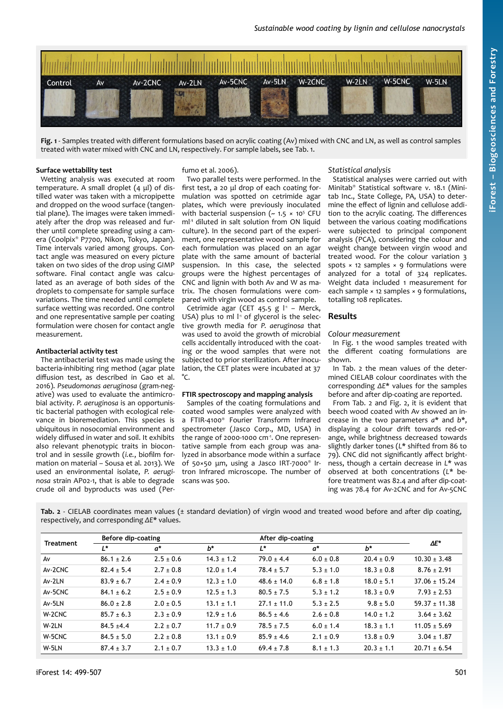

<span id="page-2-1"></span>**Fig. 1** - Samples treated with different formulations based on acrylic coating (Av) mixed with CNC and LN, as well as control samples treated with water mixed with CNC and LN, respectively. For sample labels, see [Tab. 1](#page-1-0).

#### **Surface wettability test**

Wetting analysis was executed at room temperature. A small droplet (4 μl) of distilled water was taken with a micropipette and dropped on the wood surface (tangential plane). The images were taken immediately after the drop was released and further until complete spreading using a camera (Coolpix® P7700, Nikon, Tokyo, Japan). Time intervals varied among groups. Contact angle was measured on every picture taken on two sides of the drop using GIMP software. Final contact angle was calculated as an average of both sides of the droplets to compensate for sample surface variations. The time needed until complete surface wetting was recorded. One control and one representative sample per coating formulation were chosen for contact angle measurement.

## **Antibacterial activity test**

The antibacterial test was made using the bacteria-inhibiting ring method (agar plate diffusion test, as described in Gao et al. 2016). *Pseudomonas aeruginosa* (gram-negative) was used to evaluate the antimicrobial activity. *P. aeruginosa* is an opportunistic bacterial pathogen with ecological relevance in bioremediation. This species is ubiquitous in nosocomial environment and widely diffused in water and soil. It exhibits also relevant phenotypic traits in biocontrol and in sessile growth (*i.e.*, biofilm formation on material – Sousa et al. 2013). We used an environmental isolate, *P. aeruginosa* strain AP02-1, that is able to degrade crude oil and byproducts was used (Perfumo et al. 2006).

Two parallel tests were performed. In the first test, a 20 μl drop of each coating formulation was spotted on cetrimide agar plates, which were previously inoculated with bacterial suspension ( $\sim$  1.5  $\times$  10<sup>5</sup> CFU ml<sup>-1</sup> diluted in salt solution from ON liquid culture). In the second part of the experiment, one representative wood sample for each formulation was placed on an agar plate with the same amount of bacterial suspension. In this case, the selected groups were the highest percentages of CNC and lignin with both Av and W as matrix. The chosen formulations were compared with virgin wood as control sample.

Cetrimide agar (CET 45.5 g  $I^1$  – Merck, USA) plus 10 ml  $l<sup>1</sup>$  of glycerol is the selective growth media for *P. aeruginosa* that was used to avoid the growth of microbial cells accidentally introduced with the coating or the wood samples that were not subjected to prior sterilization. After inoculation, the CET plates were incubated at 37  $^{\circ}C$ 

#### **FTIR spectroscopy and mapping analysis**

Samples of the coating formulations and coated wood samples were analyzed with a FTIR-4100® Fourier Transform Infrared spectrometer (Jasco Corp., MD, USA) in the range of 2000-1000 cm<sup>-1</sup>. One representative sample from each group was analyzed in absorbance mode within a surface of 50×50 μm, using a Jasco IRT-7000® Irtron Infrared microscope. The number of scans was 500.

#### *Statistical analysis*

Statistical analyses were carried out with Minitab® Statistical software v. 18.1 (Minitab Inc., State College, PA, USA) to determine the effect of lignin and cellulose addition to the acrylic coating. The differences between the various coating modifications were subjected to principal component analysis (PCA), considering the colour and weight change between virgin wood and treated wood. For the colour variation 3 spots  $\times$  12 samples  $\times$  9 formulations were analyzed for a total of 324 replicates. Weight data included 1 measurement for each sample × 12 samples × 9 formulations, totalling 108 replicates.

#### **Results**

#### *Colour measurement*

In [Fig. 1](#page-2-1) the wood samples treated with the different coating formulations are shown.

In [Tab. 2](#page-2-0) the mean values of the determined CIELAB colour coordinates with the corresponding *ΔE*\* values for the samples before and after dip-coating are reported.

From [Tab. 2](#page-2-0) and [Fig. 2](#page-3-0), it is evident that beech wood coated with Av showed an increase in the two parameters *a*\* and *b*\*, displaying a colour drift towards red-orange, while brightness decreased towards slightly darker tones (*L*\* shifted from 86 to 79). CNC did not significantly affect brightness, though a certain decrease in *L*\* was observed at both concentrations (*L*\* before treatment was 82.4 and after dip-coating was 78.4 for Av-2CNC and for Av-5CNC

<span id="page-2-0"></span>**Tab. 2** - CIELAB coordinates mean values (± standard deviation) of virgin wood and treated wood before and after dip coating, respectively, and corresponding *ΔE*\* values.

| <b>Treatment</b> | Before dip-coating |               |                | After dip-coating |               |                |                   |
|------------------|--------------------|---------------|----------------|-------------------|---------------|----------------|-------------------|
|                  | L*                 | $a^*$         | $h^*$          | L*                | $a^*$         | $h^*$          | $\Delta E^*$      |
| Av               | $86.1 \pm 2.6$     | $2.5 \pm 0.6$ | $14.3 \pm 1.2$ | $79.0 \pm 4.4$    | $6.0 \pm 0.8$ | $20.4 \pm 0.9$ | $10.30 \pm 3.48$  |
| Av-2CNC          | $82.4 \pm 5.4$     | $2.7 \pm 0.8$ | $12.0 \pm 1.4$ | $78.4 \pm 5.7$    | $5.3 \pm 1.0$ | $18.3 \pm 0.8$ | $8.76 \pm 2.91$   |
| Av-2LN           | $83.9 \pm 6.7$     | $2.4 \pm 0.9$ | $12.3 \pm 1.0$ | $48.6 \pm 14.0$   | $6.8 \pm 1.8$ | $18.0 \pm 5.1$ | $37.06 \pm 15.24$ |
| Av-5CNC          | $84.1 \pm 6.2$     | $2.5 \pm 0.9$ | $12.5 \pm 1.3$ | $80.5 \pm 7.5$    | $5.3 \pm 1.2$ | $18.3 \pm 0.9$ | $7.93 \pm 2.53$   |
| Av-5LN           | $86.0 \pm 2.8$     | $2.0 \pm 0.5$ | $13.1 \pm 1.1$ | $27.1 \pm 11.0$   | $5.3 \pm 2.5$ | $9.8 \pm 5.0$  | $59.37 \pm 11.38$ |
| W-2CNC           | $85.7 \pm 6.3$     | $2.3 \pm 0.9$ | $12.9 \pm 1.6$ | $86.5 \pm 4.6$    | $2.6 \pm 0.8$ | $14.0 \pm 1.2$ | $3.64 \pm 3.62$   |
| W-2LN            | $84.5 + 4.4$       | $2.2 \pm 0.7$ | $11.7 \pm 0.9$ | $78.5 \pm 7.5$    | $6.0 \pm 1.4$ | $18.3 \pm 1.1$ | $11.05 \pm 5.69$  |
| W-5CNC           | $84.5 \pm 5.0$     | $2.2 \pm 0.8$ | $13.1 \pm 0.9$ | $85.9 \pm 4.6$    | $2.1 \pm 0.9$ | $13.8 \pm 0.9$ | $3.04 \pm 1.87$   |
| W-5LN            | $87.4 \pm 3.7$     | $2.1 \pm 0.7$ | $13.3 \pm 1.0$ | $69.4 \pm 7.8$    | $8.1 \pm 1.3$ | $20.3 \pm 1.1$ | $20.71 \pm 6.54$  |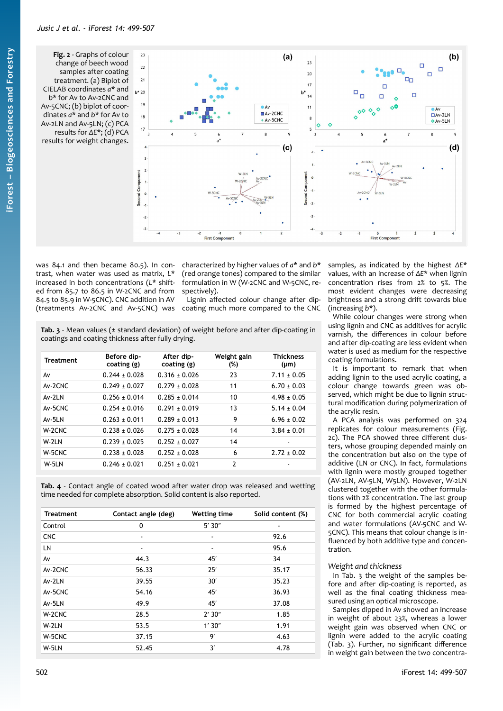<span id="page-3-0"></span>**Fig. 2** - Graphs of colour change of beech wood samples after coating treatment. (a) Biplot of CIELAB coordinates *a*\* and *b*\* for Av to Av-2CNC and Av-5CNC; (b) biplot of coordinates *a*\* and *b*\* for Av to Av-2LN and Av-5LN; (c) PCA results for *ΔE*\*; (d) PCA results for weight changes.



was 84.1 and then became 80.5). In contrast, when water was used as matrix, *L*\* increased in both concentrations (*L*\* shifted from 85.7 to 86.5 in W-2CNC and from 84.5 to 85.9 in W-5CNC). CNC addition in AV (treatments Av-2CNC and Av-5CNC) was

characterized by higher values of *a*\* and *b*\* (red orange tones) compared to the similar formulation in W (W-2CNC and W-5CNC, respectively).

Lignin affected colour change after dipcoating much more compared to the CNC

<span id="page-3-1"></span>**Tab. 3** - Mean values (± standard deviation) of weight before and after dip-coating in coatings and coating thickness after fully drying.

| <b>Treatment</b> | Before dip-<br>coating (g) | After dip-<br>coating (g) | Weight gain<br>(%) | <b>Thickness</b><br>$(\mu m)$ |
|------------------|----------------------------|---------------------------|--------------------|-------------------------------|
| A٧               | $0.244 + 0.028$            | $0.316 \pm 0.026$         | 23                 | $7.11 + 0.05$                 |
| Av-2CNC          | $0.249 \pm 0.027$          | $0.279 \pm 0.028$         | 11                 | $6.70 \pm 0.03$               |
| $Av-2I N$        | $0.256 + 0.014$            | $0.285 + 0.014$           | 10                 | $4.98 + 0.05$                 |
| Av-5CNC          | $0.254 + 0.016$            | $0.291 + 0.019$           | 13                 | $5.14 + 0.04$                 |
| Av-5LN           | $0.263 \pm 0.011$          | $0.289 \pm 0.013$         | 9                  | $6.96 \pm 0.02$               |
| W-2CNC           | $0.238 + 0.026$            | $0.275 + 0.028$           | 14                 | $3.84 \pm 0.01$               |
| W-2LN            | $0.239 \pm 0.025$          | $0.252 \pm 0.027$         | 14                 |                               |
| W-5CNC           | $0.238 \pm 0.028$          | $0.252 \pm 0.028$         | 6                  | $2.72 \pm 0.02$               |
| W-5LN            | $0.246 \pm 0.021$          | $0.251 \pm 0.021$         | $\overline{2}$     |                               |

<span id="page-3-2"></span>**Tab. 4** - Contact angle of coated wood after water drop was released and wetting time needed for complete absorption. Solid content is also reported.

| <b>Treatment</b> | Contact angle (deg) | <b>Wetting time</b> | Solid content (%) |
|------------------|---------------------|---------------------|-------------------|
| Control          | 0                   | 5'30''              | ٠                 |
| <b>CNC</b>       | ٠                   | ۰                   | 92.6              |
| LN               | $\blacksquare$      | ٠                   | 95.6              |
| Av               | 44.3                | 45'                 | 34                |
| Av-2CNC          | 56.33               | 25'                 | 35.17             |
| Av-2LN           | 39.55               | 30'                 | 35.23             |
| Av-5CNC          | 54.16               | 45'                 | 36.93             |
| Av-5LN           | 49.9                | 45'                 | 37.08             |
| W-2CNC           | 28.5                | 2'30''              | 1.85              |
| W-2LN            | 53.5                | 1'30''              | 1.91              |
| W-5CNC           | 37.15               | 9'                  | 4.63              |
| W-5LN            | 52.45               | 3'                  | 4.78              |

samples, as indicated by the highest *ΔE*\* values, with an increase of *ΔE*\* when lignin concentration rises from 2% to 5%. The most evident changes were decreasing brightness and a strong drift towards blue (increasing *b*\*).

While colour changes were strong when using lignin and CNC as additives for acrylic varnish, the differences in colour before and after dip-coating are less evident when water is used as medium for the respective coating formulations.

It is important to remark that when adding lignin to the used acrylic coating, a colour change towards green was observed, which might be due to lignin structural modification during polymerization of the acrylic resin.

A PCA analysis was performed on 324 replicates for colour measurements [\(Fig.](#page-3-0) [2c](#page-3-0)). The PCA showed three different clusters, whose grouping depended mainly on the concentration but also on the type of additive (LN or CNC). In fact, formulations with lignin were mostly grouped together (AV-2LN, AV-5LN, W5LN). However, W-2LN clustered together with the other formulations with 2% concentration. The last group is formed by the highest percentage of CNC for both commercial acrylic coating and water formulations (AV-5CNC and W-5CNC). This means that colour change is influenced by both additive type and concentration.

## *Weight and thickness*

In [Tab. 3](#page-3-1) the weight of the samples before and after dip-coating is reported, as well as the final coating thickness measured using an optical microscope.

Samples dipped in Av showed an increase in weight of about 23%, whereas a lower weight gain was observed when CNC or lignin were added to the acrylic coating [\(Tab. 3](#page-3-1)). Further, no significant difference in weight gain between the two concentra-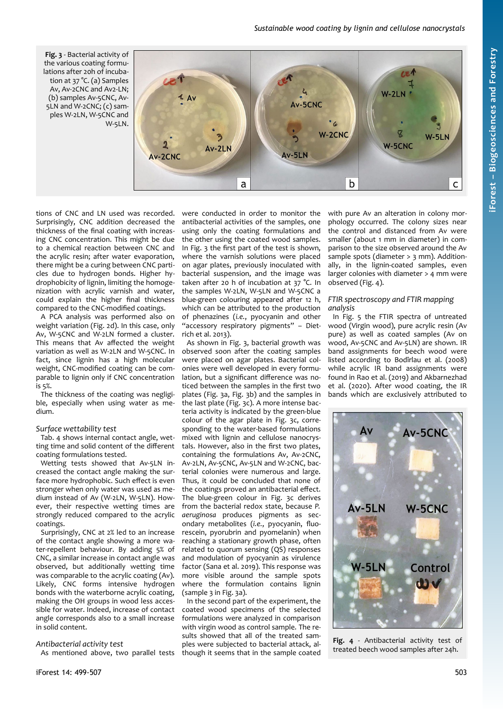# *Sustainable wood coating by lignin and cellulose nanocrystals*

<span id="page-4-1"></span>**Fig. 3** - Bacterial activity of the various coating formulations after 20h of incubation at 37 °C. (a) Samples Av, Av-2CNC and Av2-LN;  $\mathbf{c}$ W-2LN (b) samples Av-5CNC, Av- $\Delta$ **Av-5CNC** 5LN and W-2CNC; (c) samples W-2LN, W-5CNC and W-5LN. W-2CNC  $\bar{g}$  $W-5LN$ W-5CNC Av-2LN  $Av-5I N$ **Av-2CNC** b a  $\mathsf{C}$ 

tions of CNC and LN used was recorded. Surprisingly, CNC addition decreased the thickness of the final coating with increasing CNC concentration. This might be due to a chemical reaction between CNC and the acrylic resin; after water evaporation, there might be a curing between CNC particles due to hydrogen bonds. Higher hydrophobicity of lignin, limiting the homogenization with acrylic varnish and water, could explain the higher final thickness compared to the CNC-modified coatings.

A PCA analysis was performed also on weight variation [\(Fig. 2](#page-3-0)d). In this case, only Av, W-5CNC and W-2LN formed a cluster. This means that Av affected the weight variation as well as W-2LN and W-5CNC. In fact, since lignin has a high molecular weight, CNC-modified coating can be comparable to lignin only if CNC concentration is 5%.

The thickness of the coating was negligible, especially when using water as medium.

## *Surface wettability test*

[Tab. 4](#page-3-2) shows internal contact angle, wetting time and solid content of the different coating formulations tested.

Wetting tests showed that Av-5LN increased the contact angle making the surface more hydrophobic. Such effect is even stronger when only water was used as medium instead of Av (W-2LN, W-5LN). However, their respective wetting times are strongly reduced compared to the acrylic coatings.

Surprisingly, CNC at 2% led to an increase of the contact angle showing a more water-repellent behaviour. By adding 5% of CNC, a similar increase in contact angle was observed, but additionally wetting time was comparable to the acrylic coating (Av). Likely, CNC forms intensive hydrogen bonds with the waterborne acrylic coating, making the OH groups in wood less accessible for water. Indeed, increase of contact angle corresponds also to a small increase in solid content.

#### *Antibacterial activity test*

As mentioned above, two parallel tests

were conducted in order to monitor the antibacterial activities of the samples, one using only the coating formulations and the other using the coated wood samples. In [Fig. 3](#page-4-1) the first part of the test is shown, where the varnish solutions were placed on agar plates, previously inoculated with bacterial suspension, and the image was taken after 20 h of incubation at 37 °C. In the samples W-2LN, W-5LN and W-5CNC a blue-green colouring appeared after 12 h, which can be attributed to the production of phenazines (*i.e.*, pyocyanin and other "accessory respiratory pigments" – Dietrich et al. 2013).

As shown in [Fig. 3](#page-4-1), bacterial growth was observed soon after the coating samples were placed on agar plates. Bacterial colonies were well developed in every formulation, but a significant difference was noticed between the samples in the first two plates [\(Fig. 3](#page-4-1)a, [Fig. 3b](#page-4-1)) and the samples in the last plate [\(Fig. 3](#page-4-1)c). A more intense bacteria activity is indicated by the green-blue colour of the agar plate in [Fig. 3](#page-4-1)c, corresponding to the water-based formulations mixed with lignin and cellulose nanocrystals. However, also in the first two plates, containing the formulations Av, Av-2CNC, Av-2LN, Av-5CNC, Av-5LN and W-2CNC, bacterial colonies were numerous and large. Thus, it could be concluded that none of the coatings proved an antibacterial effect. The blue-green colour in [Fig. 3c](#page-4-1) derives from the bacterial redox state, because *P. aeruginosa* produces pigments as secondary metabolites (*i.e.*, pyocyanin, fluorescein, pyorubrin and pyomelanin) when reaching a stationary growth phase, often related to quorum sensing (QS) responses and modulation of pyocyanin as virulence factor (Sana et al. 2019). This response was more visible around the sample spots where the formulation contains lignin (sample 3 in [Fig. 3a](#page-4-1)).

<span id="page-4-0"></span>In the second part of the experiment, the coated wood specimens of the selected formulations were analyzed in comparison with virgin wood as control sample. The results showed that all of the treated samples were subjected to bacterial attack, although it seems that in the sample coated with pure Av an alteration in colony morphology occurred. The colony sizes near the control and distanced from Av were smaller (about 1 mm in diameter) in comparison to the size observed around the Av sample spots (diameter > 3 mm). Additionally, in the lignin-coated samples, even larger colonies with diameter > 4 mm were observed [\(Fig. 4](#page-4-0)).

#### *FTIR spectroscopy and FTIR mapping analysis*

In [Fig. 5](#page-5-0) the FTIR spectra of untreated wood (Virgin wood), pure acrylic resin (Av pure) as well as coated samples (Av on wood, Av-5CNC and Av-5LN) are shown. IR band assignments for beech wood were listed according to Bodîrlau et al. (2008) while acrylic IR band assignments were found in Rao et al. (2019) and Akbarnezhad et al. (2020). After wood coating, the IR bands which are exclusively attributed to



**Fig. 4** - Antibacterial activity test of treated beech wood samples after 24h.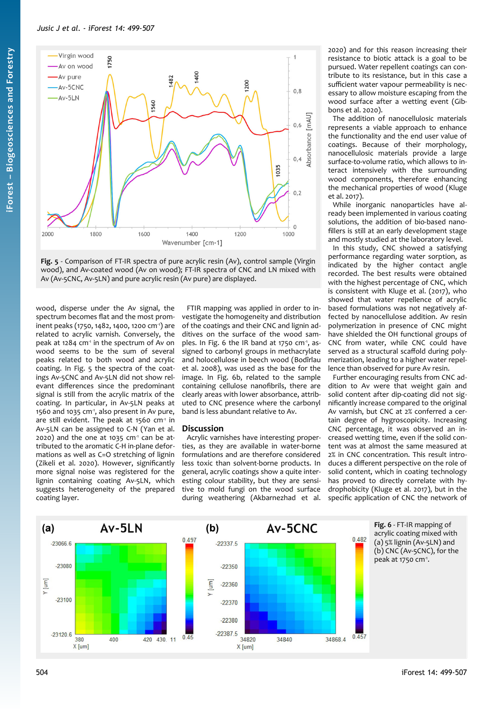

<span id="page-5-0"></span>**Fig. 5** - Comparison of FT-IR spectra of pure acrylic resin (Av), control sample (Virgin wood), and Av-coated wood (Av on wood); FT-IR spectra of CNC and LN mixed with Av (Av-5CNC, Av-5LN) and pure acrylic resin (Av pure) are displayed.

wood, disperse under the Av signal, the spectrum becomes flat and the most prominent peaks (1750, 1482, 1400, 1200 cm-1) are related to acrylic varnish. Conversely, the peak at 1284  $cm<sup>-1</sup>$  in the spectrum of Av on wood seems to be the sum of several peaks related to both wood and acrylic coating. In [Fig. 5](#page-5-0) the spectra of the coatings Av-5CNC and Av-5LN did not show relevant differences since the predominant signal is still from the acrylic matrix of the coating. In particular, in Av-5LN peaks at 1560 and 1035 cm-1, also present in Av pure, are still evident. The peak at 1560  $cm<sup>-1</sup>$  in Av-5LN can be assigned to C-N (Yan et al.  $2020$ ) and the one at 1035 cm<sup>-1</sup> can be attributed to the aromatic C-H in-plane deformations as well as C=O stretching of lignin (Zikeli et al. 2020). However, significantly more signal noise was registered for the lignin containing coating Av-5LN, which suggests heterogeneity of the prepared coating layer.

FTIR mapping was applied in order to investigate the homogeneity and distribution of the coatings and their CNC and lignin additives on the surface of the wood sam-ples. In [Fig. 6](#page-5-1) the IR band at 1750 cm<sup>-1</sup>, assigned to carbonyl groups in methacrylate and holocellulose in beech wood (Bodîrlau et al. 2008), was used as the base for the image. In [Fig. 6b](#page-5-1), related to the sample containing cellulose nanofibrils, there are clearly areas with lower absorbance, attributed to CNC presence where the carbonyl band is less abundant relative to Av.

# **Discussion**

Acrylic varnishes have interesting properties, as they are available in water-borne formulations and are therefore considered less toxic than solvent-borne products. In general, acrylic coatings show a quite interesting colour stability, but they are sensitive to mold fungi on the wood surface during weathering (Akbarnezhad et al.

2020) and for this reason increasing their resistance to biotic attack is a goal to be pursued. Water repellent coatings can contribute to its resistance, but in this case a sufficient water vapour permeability is necessary to allow moisture escaping from the wood surface after a wetting event (Gibbons et al. 2020).

The addition of nanocellulosic materials represents a viable approach to enhance the functionality and the end user value of coatings. Because of their morphology, nanocellulosic materials provide a large surface-to-volume ratio, which allows to interact intensively with the surrounding wood components, therefore enhancing the mechanical properties of wood (Kluge et al. 2017).

While inorganic nanoparticles have already been implemented in various coating solutions, the addition of bio-based nanofillers is still at an early development stage and mostly studied at the laboratory level.

In this study, CNC showed a satisfying performance regarding water sorption, as indicated by the higher contact angle recorded. The best results were obtained with the highest percentage of CNC, which is consistent with Kluge et al. (2017), who showed that water repellence of acrylic based formulations was not negatively affected by nanocellulose addition. Av resin polymerization in presence of CNC might have shielded the OH functional groups of CNC from water, while CNC could have served as a structural scaffold during polymerization, leading to a higher water repellence than observed for pure Av resin.

<span id="page-5-1"></span>Further encouraging results from CNC addition to Av were that weight gain and solid content after dip-coating did not significantly increase compared to the original Av varnish, but CNC at 2% conferred a certain degree of hygroscopicity. Increasing CNC percentage, it was observed an increased wetting time, even if the solid content was at almost the same measured at 2% in CNC concentration. This result introduces a different perspective on the role of solid content, which in coating technology has proved to directly correlate with hydrophobicity (Kluge et al. 2017), but in the specific application of CNC the network of

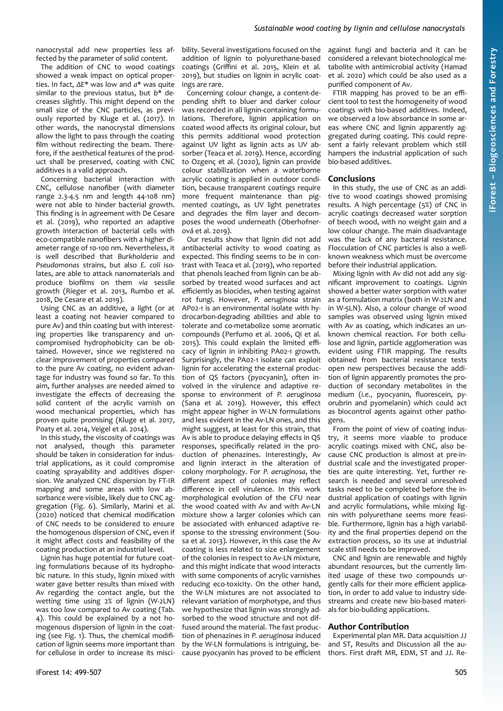nanocrystal add new properties less affected by the parameter of solid content.

The addition of CNC to wood coatings showed a weak impact on optical properties. In fact, *ΔE*\* was low and *a*\* was quite similar to the previous status, but *b*\* decreases slightly. This might depend on the small size of the CNC particles, as previously reported by Kluge et al. (2017). In other words, the nanocrystal dimensions allow the light to pass through the coating film without redirecting the beam. Therefore, if the aesthetical features of the product shall be preserved, coating with CNC additives is a valid approach.

Concerning bacterial interaction with CNC, cellulose nanofiber (with diameter range 2.3-4.5 nm and length 44-108 nm) were not able to hinder bacterial growth. This finding is in agreement with De Cesare et al. (2019), who reported an adaptive growth interaction of bacterial cells with eco-compatible nanofibers with a higher diameter range of 10-100 nm. Nevertheless, it is well described that *Burkholderia* and *Pseudomonas* strains, but also *E. coli* isolates, are able to attack nanomaterials and produce biofilms on them *via* sessile growth (Rieger et al. 2013, Rumbo et al. 2018, De Cesare et al. 2019).

Using CNC as an additive, a light (or at least a coating not heavier compared to pure Av) and thin coating but with interesting properties like transparency and uncompromised hydrophobicity can be obtained. However, since we registered no clear improvement of properties compared to the pure Av coating, no evident advantage for industry was found so far. To this aim, further analyses are needed aimed to investigate the effects of decreasing the solid content of the acrylic varnish on wood mechanical properties, which has proven quite promising (Kluge et al. 2017, Poaty et al. 2014, Veigel et al. 2014).

In this study, the viscosity of coatings was not analysed, though this parameter should be taken in consideration for industrial applications, as it could compromise coating sprayability and additives dispersion. We analyzed CNC dispersion by FT-IR mapping and some areas with low absorbance were visible, likely due to CNC aggregation [\(Fig. 6\)](#page-5-1). Similarly, Marini et al. (2020) noticed that chemical modification of CNC needs to be considered to ensure the homogenous dispersion of CNC, even if it might affect costs and feasibility of the coating production at an industrial level.

Lignin has huge potential for future coating formulations because of its hydrophobic nature. In this study, lignin mixed with water gave better results than mixed with Av regarding the contact angle, but the wetting time using 2% of lignin (W-2LN) was too low compared to Av coating ([Tab.](#page-3-2) [4](#page-3-2)). This could be explained by a not homogenous dispersion of lignin in the coating (see [Fig. 1](#page-2-1)). Thus, the chemical modification of lignin seems more important than for cellulose in order to increase its misci-

bility. Several investigations focused on the addition of lignin to polyurethane-based coatings (Griffini et al. 2015, Klein et al. 2019), but studies on lignin in acrylic coatings are rare.

Concerning colour change, a content-depending shift to bluer and darker colour was recorded in all lignin-containing formulations. Therefore, lignin application on coated wood affects its original colour, but this permits additional wood protection against UV light as lignin acts as UV absorber (Teaca et al. 2019). Hence, according to Ozgenç et al. (2020), lignin can provide colour stabilization when a waterborne acrylic coating is applied in outdoor condition, because transparent coatings require more frequent maintenance than pigmented coatings, as UV light penetrates and degrades the film layer and decomposes the wood underneath (Oberhofner- $O(x^2 + 1.2010)$ .

Our results show that lignin did not add antibacterial activity to wood coating as expected. This finding seems to be in contrast with Teaca et al. (2019), who reported that phenols leached from lignin can be absorbed by treated wood surfaces and act efficiently as biocides, when testing against rot fungi. However, *P. aeruginosa* strain AP02-1 is an environmental isolate with hydrocarbon-degrading abilities and able to tolerate and co-metabolize some aromatic compounds (Perfumo et al. 2006, Qi et al. 2015). This could explain the limited efficacy of lignin in inhibiting PA02-1 growth. Surprisingly, the PA02-1 isolate can exploit lignin for accelerating the external production of QS factors (pyocyanin), often involved in the virulence and adaptive response to environment of *P. aeruginosa* (Sana et al. 2019). However, this effect might appear higher in W-LN formulations and less evident in the Av-LN ones, and this might suggest, at least for this strain, that Av is able to produce delaying effects in QS responses, specifically related in the production of phenazines. Interestingly, Av and lignin interact in the alteration of colony morphology. For *P. aeruginosa*, the different aspect of colonies may reflect difference in cell virulence. In this work morphological evolution of the CFU near the wood coated with Av and with Av-LN mixture show a larger colonies which can be associated with enhanced adaptive response to the stressing environment (Sousa et al. 2013). However, in this case the Av coating is less related to size enlargement of the colonies in respect to Av-LN mixture, and this might indicate that wood interacts with some components of acrylic varnishes reducing eco-toxicity. On the other hand, the W-LN mixtures are not associated to relevant variation of morphotype, and thus we hypothesize that lignin was strongly adsorbed to the wood structure and not diffused around the material. The fast production of phenazines in *P. aeruginosa* induced by the W-LN formulations is intriguing, because pyocyanin has proved to be efficient

against fungi and bacteria and it can be considered a relevant biotechnological metabolite with antimicrobial activity (Hamad et al. 2020) which could be also used as a purified component of Av.

FTIR mapping has proved to be an efficient tool to test the homogeneity of wood coatings with bio-based additives. Indeed, we observed a low absorbance in some areas where CNC and lignin apparently aggregated during coating. This could represent a fairly relevant problem which still hampers the industrial application of such bio-based additives.

#### **Conclusions**

In this study, the use of CNC as an additive to wood coatings showed promising results. A high percentage (5%) of CNC in acrylic coatings decreased water sorption of beech wood, with no weight gain and a low colour change. The main disadvantage was the lack of any bacterial resistance. Flocculation of CNC particles is also a wellknown weakness which must be overcome before their industrial application.

Mixing lignin with Av did not add any significant improvement to coatings. Lignin showed a better water sorption with water as a formulation matrix (both in W-2LN and in W-5LN). Also, a colour change of wood samples was observed using lignin mixed with Av as coating, which indicates an unknown chemical reaction. For both cellulose and lignin, particle agglomeration was evident using FTIR mapping. The results obtained from bacterial resistance tests open new perspectives because the addition of lignin apparently promotes the production of secondary metabolites in the medium (*i.e.*, pyocyanin, fluorescein, pyorubrin and pyomelanin) which could act as biocontrol agents against other pathogens.

From the point of view of coating industry, it seems more viaable to produce acrylic coatings mixed with CNC, also because CNC production is almost at pre-industrial scale and the investigated properties are quite interesting. Yet, further research is needed and several unresolved tasks need to be completed before the industrial application of coatings with lignin and acrylic formulations, while mixing lignin with polyurethane seems more feasible. Furthermore, lignin has a high variability and the final properties depend on the extraction process, so its use at industrial scale still needs to be improved.

CNC and lignin are renewable and highly abundant resources, but the currently limited usage of these two compounds urgently calls for their more efficient application, in order to add value to industry sidestreams and create new bio-based materials for bio-building applications.

#### **Author Contribution**

Experimental plan MR. Data acquisition JJ and ST, Results and Discussion all the authors. First draft MR, EDM, ST and JJ. Re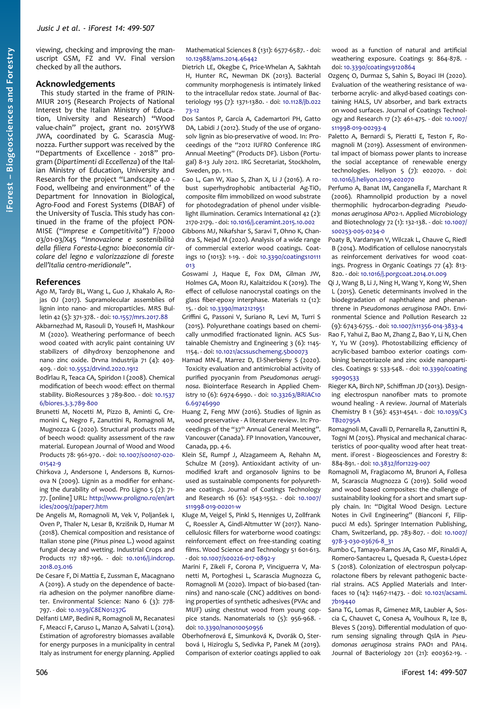viewing, checking and improving the manuscript GSM, FZ and VV. Final version checked by all the authors.

## **Acknowledgements**

This study started in the frame of PRIN-MIUR 2015 (Research Projects of National Interest by the Italian Ministry of Education, University and Research) "Wood value-chain" project, grant no. 2015YW8 JWA, coordinated by G. Scarascia Mugnozza. Further support was received by the "Departments of Excellence - 2018" program (*Dipartimenti di Eccellenza*) of the Italian Ministry of Education, University and Research for the project "Landscape 4.0 - Food, wellbeing and environment" of the Department for Innovation in Biological, Agro-Food and Forest Systems (DIBAF) of the University of Tuscia. This study has continued in the frame of the pfoject PON-MISE ("*Imprese e Competitività*") F/2000 03/01-03/X45 "*Innovazione e sostenibilità della filiera Foresta-Legno: bioeconomia circolare del legno e valorizzazione di foreste dell'Italia centro-meridionale*".

#### **References**

- Ago M, Tardy BL, Wang L, Guo J, Khakalo A, Rojas OJ (2017). Supramolecular assemblies of lignin into nano- and microparticles. MRS Bulletin 42 (5): 371-378. - doi: [10.1557/mrs.2017.88](https://doi.org/10.1557/mrs.2017.88)
- Akbarnezhad M, Rasouli D, Yousefi H, Mashkour M (2020). Weathering performance of beech wood coated with acrylic paint containing UV stabilizers of dihydroxy benzophenone and nano zinc oxide. Drvna Industrija 71 (4): 403- 409. - doi: [10.5552/drvind.2020.1912](https://doi.org/10.5552/drvind.2020.1912)
- Bodîrlau R, Teaca CA, Spiridon I (2008). Chemical modification of beech wood: effect on thermal stability. BioResources 3 789-800. - doi: [10.1537](https://doi.org/10.15376/biores.3.3.789-800) [6/biores.3.3.789-800](https://doi.org/10.15376/biores.3.3.789-800)
- Brunetti M, Nocetti M, Pizzo B, Aminti G, Cremonini C, Negro F, Zanuttini R, Romagnoli M, Mugnozza G (2020). Structural products made of beech wood: quality assessment of the raw material. European Journal of Wood and Wood Products 78: 961-970. - doi: [10.1007/s00107-020-](https://doi.org/10.1007/s00107-020-01542-9) [01542-9](https://doi.org/10.1007/s00107-020-01542-9)
- Chirkova J, Andersone I, Andersons B, Kurnosova N (2009). Lignin as a modifier for enhancing the durability of wood. Pro Ligno 5 (2): 71- 77. [online] URL: [http://www.proligno.ro/en/art](http://www.proligno.ro/en/articles/2009/2/paper7.htm) [icles/2009/2/paper7.htm](http://www.proligno.ro/en/articles/2009/2/paper7.htm)
- De Angelis M, Romagnoli M, Vek V, Poljanšek I, Oven P, Thaler N, Lesar B, Krzišnik D, Humar M (2018). Chemical composition and resistance of Italian stone pine (*Pinus pinea* L.) wood against fungal decay and wetting. Industrial Crops and Products 117 187-196. - doi: [10.1016/j.indcrop.](https://doi.org/10.1016/j.indcrop.2018.03.016) [2018.03.016](https://doi.org/10.1016/j.indcrop.2018.03.016)
- De Cesare F, Di Mattia E, Zussman E, Macagnano A (2019). A study on the dependence of bacteria adhesion on the polymer nanofibre diameter. Environmental Science: Nano 6 (3): 778- 797. - doi: [10.1039/C8EN01237G](https://doi.org/10.1039/C8EN01237G)
- Delfanti LMP, Bedini R, Romagnoli M, Recanatesi F, Meacci F, Caruso L, Manzo A, Salvati L (2014). Estimation of agroforestry biomasses available for energy purposes in a municipality in central Italy as instrument for energy planning. Applied

Mathematical Sciences 8 (131): 6577-6587. - doi: [10.12988/ams.2014.46442](https://doi.org/10.12988/ams.2014.46442)

- Dietrich LE, Okegbe C, Price-Whelan A, Sakhtah H, Hunter RC, Newman DK (2013). Bacterial community morphogenesis is intimately linked to the intracellular redox state. Journal of Bacteriology 195 (7): 1371-1380. - doi: [10.1128/jb.022](https://doi.org/10.1128/jb.02273-12) [73-12](https://doi.org/10.1128/jb.02273-12)
- Dos Santos P, García A, Cademartori PH, Gatto DA, Labidi J (2012). Study of the use of organosolv lignin as bio-preservative of wood. In: Proceedings of the "2012 IUFRO Conference IRG Annual Meeting" (Products DF). Lisbon (Portugal) 8-13 July 2012. IRG Secretariat, Stockholm, Sweden, pp. 1-11.
- Gao L, Gan W, Xiao S, Zhan X, Li J (2016). A robust superhydrophobic antibacterial Ag-TiO<sub>2</sub> composite film immobilized on wood substrate for photodegradation of phenol under visiblelight illumination. Ceramics International 42 (2): 2170-2179. - doi: [10.1016/j.ceramint.2015.10.002](https://doi.org/10.1016/j.ceramint.2015.10.002)
- Gibbons MJ, Nikafshar S, Saravi T, Ohno K, Chandra S, Nejad M (2020). Analysis of a wide range of commercial exterior wood coatings. Coatings 10 (1013): 1-19. - doi: [10.3390/coatings10111](https://doi.org/10.3390/coatings10111013)  $013$
- Goswami J, Haque E, Fox DM, Gilman JW, Holmes GA, Moon RJ, Kalaitzidou K (2019). The effect of cellulose nanocrystal coatings on the glass fiber-epoxy interphase. Materials 12 (12): 15. - doi: [10.3390/ma12121951](https://doi.org/10.3390/ma12121951)
- Griffini G, Passoni V, Suriano R, Levi M, Turri S (2015). Polyurethane coatings based on chemically unmodified fractionated lignin. ACS Sustainable Chemistry and Engineering 3 (6): 1145- 1154. - doi: [10.1021/acssuschemeng.5b00073](https://doi.org/10.1021/acssuschemeng.5b00073)
- Hamad MN-E, Marrez D, El-Sherbieny S (2020). Toxicity evaluation and antimicrobial activity of purified pyocyanin from *Pseudomonas aeruginosa*. Biointerface Research in Applied Chemistry 10 (6): 6974-6990. - doi: [10.33263/BRIAC10](https://doi.org/10.33263/BRIAC106.69746990) [6.69746990](https://doi.org/10.33263/BRIAC106.69746990)
- Huang Z, Feng MW (2016). Studies of lignin as wood preservative - A literature review. In: Proceedings of the "37<sup>th</sup> Annual General Meeting". Vancouver (Canada). FP Innovation, Vancouver, Canada, pp. 4-6.
- Klein SE, Rumpf J, Alzagameem A, Rehahn M, Schulze M (2019). Antioxidant activity of unmodified kraft and organosolv lignins to be used as sustainable components for polyurethane coatings. Journal of Coatings Technology and Research 16 (6): 1543-1552. - doi: [10.1007/](https://doi.org/10.1007/s11998-019-00201-w) [s11998-019-00201-w](https://doi.org/10.1007/s11998-019-00201-w)
- Kluge M, Veigel S, Pinkl S, Henniges U, Zollfrank C, Roessler A, Gindl-Altmutter W (2017). Nanocellulosic fillers for waterborne wood coatings: reinforcement effect on free-standing coating films. Wood Science and Technology 51 601-613. - doi: [10.1007/s00226-017-0892-y](https://doi.org/10.1007/s00226-017-0892-y)
- Marini F, Zikeli F, Corona P, Vinciguerra V, Manetti M, Portoghesi L, Scarascia Mugnozza G, Romagnoli M (2020). Impact of bio-based (tannins) and nano-scale (CNC) additives on bonding properties of synthetic adhesives (PVAc and MUF) using chestnut wood from young coppice stands. Nanomaterials 10 (5): 956-968. doi: [10.3390/nano10050956](https://doi.org/10.3390/nano10050956)
- Oberhofnerová E, Simunková K, Dvorák O, Sterbová I, Hiziroglu S, Sedivka P, Panek M (2019). Comparison of exterior coatings applied to oak

wood as a function of natural and artificial weathering exposure. Coatings 9: 864-878. doi: [10.3390/coatings9120864](https://doi.org/10.3390/coatings9120864)

- Ozgenç O, Durmaz S, Sahin S, Boyaci IH (2020). Evaluation of the weathering resistance of waterborne acrylic- and alkyd-based coatings containing HALS, UV absorber, and bark extracts on wood surfaces. Journal of Coatings Technology and Research 17 (2): 461-475. - doi: [10.1007/](https://doi.org/10.1007/s11998-019-00293-4) [s11998-019-00293-4](https://doi.org/10.1007/s11998-019-00293-4)
- Paletto A, Bernardi S, Pieratti E, Teston F, Romagnoli M (2019). Assessment of environmental impact of biomass power plants to increase the social acceptance of renewable energy technologies. Heliyon 5 (7): e02070. - doi: [10.1016/j.heliyon.2019.e02070](https://doi.org/10.1016/j.heliyon.2019.e02070)
- Perfumo A, Banat IM, Canganella F, Marchant R (2006). Rhamnolipid production by a novel thermophilic hydrocarbon-degrading *Pseudomonas aeruginosa* AP02-1. Applied Microbiology and Biotechnology 72 (1): 132-138. - doi: [10.1007/](https://doi.org/10.1007/s00253-005-0234-0) [s00253-005-0234-0](https://doi.org/10.1007/s00253-005-0234-0)
- Poaty B, Vardanyan V, Wilczak L, Chauve G, Riedl B (2014). Modification of cellulose nanocrystals as reinforcement derivatives for wood coatings. Progress in Organic Coatings 77 (4): 813- 820. - doi: [10.1016/j.porgcoat.2014.01.009](https://doi.org/10.1016/j.porgcoat.2014.01.009)
- Qi J, Wang B, Li J, Ning H, Wang Y, Kong W, Shen L (2015). Genetic determinants involved in the biodegradation of naphthalene and phenanthrene in *Pseudomonas aeruginosa* PAO1. Environmental Science and Pollution Research 22 (9): 6743-6755. - doi: [10.1007/s11356-014-3833-4](https://doi.org/10.1007/s11356-014-3833-4)
- Rao F, Yahui Z, Bao M, Zhang Z, Bao Y, Li N, Chen Y, Yu W (2019). Photostabilizing efficiency of acrylic-based bamboo exterior coatings combining benzotriazole and zinc oxide nanoparticles. Coatings 9: 533-548. - doi: [10.3390/coating](https://doi.org/10.3390/coatings9090533) [s9090533](https://doi.org/10.3390/coatings9090533)
- Rieger KA, Birch NP, Schiffman JD (2013). Designing electrospun nanofiber mats to promote wound healing - A review. Journal of Materials Chemistry B 1 (36): 4531-4541. - doi: [10.1039/C3](https://doi.org/10.1039/C3TB20795A) [TB20795A](https://doi.org/10.1039/C3TB20795A)
- Romagnoli M, Cavalli D, Pernarella R, Zanuttini R, Togni M (2015). Physical and mechanical characteristics of poor-quality wood after heat treatment. iForest - Biogeosciences and Forestry 8: 884-891. - doi: [10.3832/ifor1229-007](https://doi.org/10.3832/ifor1229-007)
- Romagnoli M, Fragiacomo M, Brunori A, Follesa M, Scarascia Mugnozza G (2019). Solid wood and wood based composites: the challenge of sustainability looking for a short and smart supply chain. In: "Digital Wood Design. Lecture Notes in Civil Engineering" (Bianconi F, Filippucci M eds). Springer Internation Publishing, Cham, Switzerland, pp. 783-807. - doi: [10.1007/](https://doi.org/10.1007/978-3-030-03676-8_31) [978-3-030-03676-8\\_31](https://doi.org/10.1007/978-3-030-03676-8_31)
- Rumbo C, Tamayo-Ramos JA, Caso MF, Rinaldi A, Romero-Santacreu L, Quesada R, Cuesta-López S (2018). Colonization of electrospun polycaprolactone fibers by relevant pathogenic bacterial strains. ACS Applied Materials and Interfaces 10 (14): 11467-11473. - doi: [10.1021/acsami.](https://doi.org/10.1021/acsami.7b19440) [7b19440](https://doi.org/10.1021/acsami.7b19440)
- Sana TG, Lomas R, Gimenez MR, Laubier A, Soscia C, Chauvet C, Conesa A, Voulhoux R, Ize B, Bleves S (2019). Differential modulation of quorum sensing signaling through QslA in *Pseudomonas aeruginosa* strains PAO1 and PA14. Journal of Bacteriology 201 (21): e00362-19.